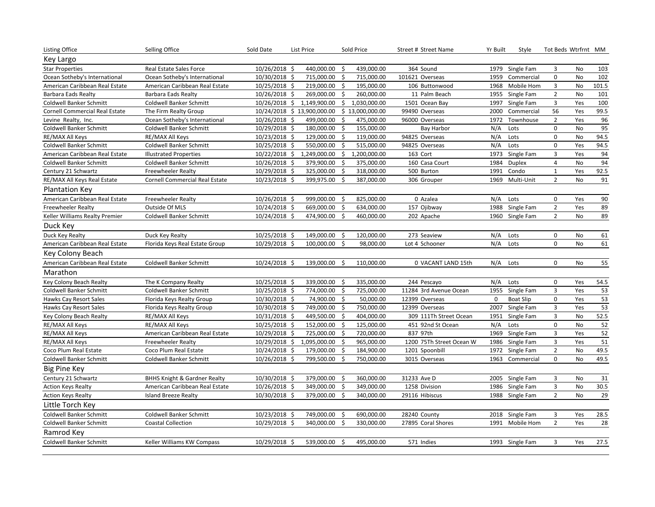| Listing Office                        | Selling Office                          | Sold Date     | List Price                  | Sold Price |                 | Street # Street Name     | Yr Built    | Style            | Tot Beds Wtrfrnt MM |               |       |
|---------------------------------------|-----------------------------------------|---------------|-----------------------------|------------|-----------------|--------------------------|-------------|------------------|---------------------|---------------|-------|
| Key Largo                             |                                         |               |                             |            |                 |                          |             |                  |                     |               |       |
| <b>Star Properties</b>                | Real Estate Sales Force                 | 10/26/2018 \$ | 440,000.00                  | -\$        | 439,000.00      | 364 Sound                |             | 1979 Single Fam  | 3                   | No            | 103   |
| Ocean Sotheby's International         | Ocean Sotheby's International           | 10/30/2018 \$ | 715,000.00                  | \$         | 715,000.00      | 101621 Overseas          | 1959        | Commercial       | $\pmb{0}$           | No            | 102   |
| American Caribbean Real Estate        | American Caribbean Real Estate          | 10/25/2018 \$ | 219,000.00 \$               |            | 195,000.00      | 106 Buttonwood           | 1968        | Mobile Hom       | 3                   | No            | 101.5 |
| Barbara Eads Realty                   | Barbara Eads Realty                     | 10/26/2018 \$ | 269,000.00                  | - \$       | 260,000.00      | 11 Palm Beach            |             | 1955 Single Fam  | $\overline{2}$      | No            | 101   |
| Coldwell Banker Schmitt               | Coldwell Banker Schmitt                 | 10/26/2018 \$ | 1,149,900.00                | \$         | 1,030,000.00    | 1501 Ocean Bay           | 1997        | Single Fam       | 3                   | Yes           | 100   |
| <b>Cornell Commercial Real Estate</b> | The Firm Realty Group                   |               | 10/24/2018 \$ 13,900,000.00 |            | \$13,000,000.00 | 99490 Overseas           | 2000        | Commercial       | 56                  | Yes           | 99.5  |
| Levine Realty, Inc.                   | Ocean Sotheby's International           | 10/26/2018 \$ | 499,000.00                  | \$         | 475,000.00      | 96000 Overseas           | 1972        | Townhouse        | $\overline{2}$      | Yes           | 96    |
| Coldwell Banker Schmitt               | Coldwell Banker Schmitt                 | 10/29/2018 \$ | 180,000.00                  | -\$        | 155,000.00      | <b>Bay Harbor</b>        | N/A         | Lots             | $\mathbf 0$         | No            | 95    |
| RE/MAX All Keys                       | RE/MAX All Keys                         | 10/23/2018 \$ | 129,000.00                  | -\$        | 119,000.00      | 94825 Overseas           | N/A         | Lots             | $\pmb{0}$           | No            | 94.5  |
| Coldwell Banker Schmitt               | Coldwell Banker Schmitt                 | 10/25/2018 \$ | 550,000.00                  | S.         | 515,000.00      | 94825 Overseas           | N/A         | Lots             | $\pmb{0}$           | Yes           | 94.5  |
| American Caribbean Real Estate        | <b>Illustrated Properties</b>           | 10/22/2018 \$ | 1,249,000.00                | \$         | 1,200,000.00    | 163 Cort                 | 1973        | Single Fam       | 3                   | Yes           | 94    |
| <b>Coldwell Banker Schmitt</b>        | Coldwell Banker Schmitt                 | 10/26/2018 \$ | 379,900.00                  | -\$        | 375,000.00      | 160 Casa Court           | 1984        | <b>Duplex</b>    | $\overline{4}$      | No            | 94    |
| Century 21 Schwartz                   | <b>Freewheeler Realty</b>               | 10/29/2018 \$ | 325,000.00                  | - \$       | 318,000.00      | 500 Burton               | 1991        | Condo            | $\mathbf 1$         | Yes           | 92.5  |
| RE/MAX All Keys Real Estate           | <b>Cornell Commercial Real Estate</b>   | 10/23/2018 \$ | 399,975.00                  | \$         | 387,000.00      | 306 Grouper              |             | 1969 Multi-Unit  | 2                   | No            | 91    |
| <b>Plantation Key</b>                 |                                         |               |                             |            |                 |                          |             |                  |                     |               |       |
| American Caribbean Real Estate        | Freewheeler Realty                      | 10/26/2018 \$ | 999,000.00                  | - \$       | 825,000.00      | 0 Azalea                 | N/A         | Lots             | $\mathbf 0$         | Yes           | 90    |
| <b>Freewheeler Realty</b>             | Outside Of MLS                          | 10/24/2018 \$ | 669,000.00                  | - \$       | 634,000.00      | 157 Ojibway              |             | 1988 Single Fam  | $\overline{2}$      | Yes           | 89    |
| Keller Williams Realty Premier        | Coldwell Banker Schmitt                 | 10/24/2018 \$ | 474,900.00                  | S.         | 460,000.00      | 202 Apache               | 1960        | Single Fam       | $\overline{2}$      | No            | 89    |
| Duck Key                              |                                         |               |                             |            |                 |                          |             |                  |                     |               |       |
| Duck Key Realty                       | Duck Key Realty                         | 10/25/2018 \$ | 149,000.00 \$               |            | 120,000.00      | 273 Seaview              | N/A         | Lots             | 0                   | No            | 61    |
| American Caribbean Real Estate        | Florida Keys Real Estate Group          | 10/29/2018 \$ | 100,000.00                  | Ŝ.         | 98,000.00       | Lot 4 Schooner           | N/A         | Lots             | 0                   | No            | 61    |
| Key Colony Beach                      |                                         |               |                             |            |                 |                          |             |                  |                     |               |       |
| American Caribbean Real Estate        | <b>Coldwell Banker Schmitt</b>          | 10/24/2018 \$ | 139,000.00                  | -\$        | 110,000.00      | 0 VACANT LAND 15th       | N/A         | Lots             | $\pmb{0}$           | No            | 55    |
| Marathon                              |                                         |               |                             |            |                 |                          |             |                  |                     |               |       |
| Key Colony Beach Realty               | The K Company Realty                    | 10/25/2018 \$ | 339,000.00                  | -\$        | 335,000.00      | 244 Pescayo              | N/A         | Lots             | $\pmb{0}$           | Yes           | 54.5  |
| Coldwell Banker Schmitt               | Coldwell Banker Schmitt                 | 10/25/2018 \$ | 774,000.00 \$               |            | 725,000.00      | 11284 3rd Avenue Ocean   |             | 1955 Single Fam  | 3                   | Yes           | 53    |
| Hawks Cay Resort Sales                | Florida Keys Realty Group               | 10/30/2018 \$ | 74,900.00 \$                |            | 50,000.00       | 12399 Overseas           | $\mathbf 0$ | <b>Boat Slip</b> | $\mathsf 0$         | Yes           | 53    |
| Hawks Cay Resort Sales                | Florida Keys Realty Group               | 10/30/2018 \$ | 749,000.00                  | - \$       | 750,000.00      | 12399 Overseas           | 2007        | Single Fam       | 3                   | Yes           | 53    |
| Key Colony Beach Realty               | RE/MAX All Keys                         | 10/31/2018 \$ | 449,500.00                  | - \$       | 404,000.00      | 309 111Th Street Ocean   | 1951        | Single Fam       | 3                   | No            | 52.5  |
| RE/MAX All Keys                       | RE/MAX All Keys                         | 10/25/2018 \$ | 152,000.00                  | -\$        | 125,000.00      | 451 92nd St Ocean        | N/A         | Lots             | $\mathbf 0$         | <b>No</b>     | 52    |
| RE/MAX All Keys                       | American Caribbean Real Estate          | 10/29/2018 \$ | 725,000.00                  | - \$       | 720,000.00      | 837 97th                 | 1969        | Single Fam       | 3                   | Yes           | 52    |
| RE/MAX All Keys                       | <b>Freewheeler Realty</b>               | 10/29/2018 \$ | 1,095,000.00                | -\$        | 965,000.00      | 1200 75Th Street Ocean W |             | 1986 Single Fam  | 3                   | Yes           | 51    |
| Coco Plum Real Estate                 | Coco Plum Real Estate                   | 10/24/2018 \$ | 179,000.00 \$               |            | 184,900.00      | 1201 Spoonbill           | 1972        | Single Fam       | $\overline{2}$      | No            | 49.5  |
| Coldwell Banker Schmitt               | Coldwell Banker Schmitt                 | 10/26/2018 \$ | 799,500.00                  | -\$        | 750,000.00      | 3015 Overseas            | 1963        | Commercial       | $\mathbf 0$         | No            | 49.5  |
| <b>Big Pine Key</b>                   |                                         |               |                             |            |                 |                          |             |                  |                     |               |       |
| Century 21 Schwartz                   | <b>BHHS Knight &amp; Gardner Realty</b> | 10/30/2018 \$ | 379,000.00                  | \$.        | 360,000.00      | 31233 Ave D              |             | 2005 Single Fam  | 3                   | No            | 31    |
| <b>Action Keys Realty</b>             | American Caribbean Real Estate          | 10/26/2018 \$ | 349,000.00                  | -\$        | 349,000.00      | 1258 Division            | 1986        | Single Fam       | 3                   | No            | 30.5  |
| <b>Action Keys Realty</b>             | <b>Island Breeze Realty</b>             | 10/30/2018 \$ | 379,000.00                  | Ś.         | 340,000.00      | 29116 Hibiscus           |             | 1988 Single Fam  | $\overline{2}$      | $\mathsf{No}$ | 29    |
| Little Torch Key                      |                                         |               |                             |            |                 |                          |             |                  |                     |               |       |
| Coldwell Banker Schmitt               | Coldwell Banker Schmitt                 | 10/23/2018 \$ | 749,000.00                  | -\$        | 690,000.00      | 28240 County             |             | 2018 Single Fam  | 3                   | Yes           | 28.5  |
| Coldwell Banker Schmitt               | <b>Coastal Collection</b>               | 10/29/2018 \$ | 340,000.00                  | \$         | 330,000.00      | 27895 Coral Shores       | 1991        | Mobile Hom       | $\overline{2}$      | Yes           | 28    |
| Ramrod Key                            |                                         |               |                             |            |                 |                          |             |                  |                     |               |       |
| <b>Coldwell Banker Schmitt</b>        | Keller Williams KW Compass              | 10/29/2018 \$ | 539,000.00 \$               |            | 495,000.00      | 571 Indies               |             | 1993 Single Fam  | $\overline{3}$      | Yes           | 27.5  |